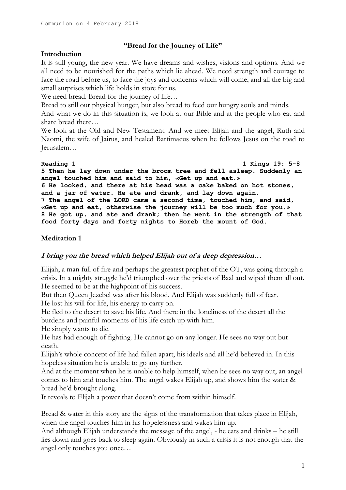# **"Bread for the Journey of Life"**

## **Introduction**

It is still young, the new year. We have dreams and wishes, visions and options. And we all need to be nourished for the paths which lie ahead. We need strength and courage to face the road before us, to face the joys and concerns which will come, and all the big and small surprises which life holds in store for us.

We need bread. Bread for the journey of life...

Bread to still our physical hunger, but also bread to feed our hungry souls and minds.

And what we do in this situation is, we look at our Bible and at the people who eat and share bread there…

We look at the Old and New Testament. And we meet Elijah and the angel, Ruth and Naomi, the wife of Jairus, and healed Bartimaeus when he follows Jesus on the road to Jerusalem…

**Reading 1 1 Kings 19: 5-8 5 Then he lay down under the broom tree and fell asleep. Suddenly an angel touched him and said to him, «Get up and eat.» 6 He looked, and there at his head was a cake baked on hot stones, and a jar of water. He ate and drank, and lay down again. 7 The angel of the LORD came a second time, touched him, and said, «Get up and eat, otherwise the journey will be too much for you.» 8 He got up, and ate and drank; then he went in the strength of that food forty days and forty nights to Horeb the mount of God.**

# **Meditation 1**

# **I bring you the bread which helped Elijah out of a deep depression…**

Elijah, a man full of fire and perhaps the greatest prophet of the OT, was going through a crisis. In a mighty struggle he'd triumphed over the priests of Baal and wiped them all out. He seemed to be at the highpoint of his success.

But then Queen Jezebel was after his blood. And Elijah was suddenly full of fear. He lost his will for life, his energy to carry on.

He fled to the desert to save his life. And there in the loneliness of the desert all the burdens and painful moments of his life catch up with him.

He simply wants to die.

He has had enough of fighting. He cannot go on any longer. He sees no way out but death.

Elijah's whole concept of life had fallen apart, his ideals and all he'd believed in. In this hopeless situation he is unable to go any further.

And at the moment when he is unable to help himself, when he sees no way out, an angel comes to him and touches him. The angel wakes Elijah up, and shows him the water & bread he'd brought along.

It reveals to Elijah a power that doesn't come from within himself.

Bread & water in this story are the signs of the transformation that takes place in Elijah, when the angel touches him in his hopelessness and wakes him up.

And although Elijah understands the message of the angel, - he eats and drinks – he still lies down and goes back to sleep again. Obviously in such a crisis it is not enough that the angel only touches you once…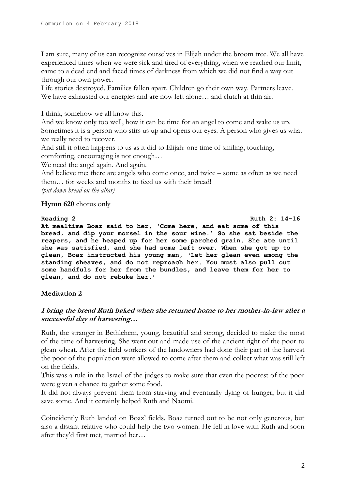I am sure, many of us can recognize ourselves in Elijah under the broom tree. We all have experienced times when we were sick and tired of everything, when we reached our limit, came to a dead end and faced times of darkness from which we did not find a way out through our own power.

Life stories destroyed. Families fallen apart. Children go their own way. Partners leave. We have exhausted our energies and are now left alone… and clutch at thin air.

I think, somehow we all know this.

And we know only too well, how it can be time for an angel to come and wake us up. Sometimes it is a person who stirs us up and opens our eyes. A person who gives us what we really need to recover.

And still it often happens to us as it did to Elijah: one time of smiling, touching, comforting, encouraging is not enough…

We need the angel again. And again.

And believe me: there are angels who come once, and twice – some as often as we need them… for weeks and months to feed us with their bread! *(put down bread on the altar)*

## **Hymn 620** chorus only

### **Reading 2 Ruth 2: 14-16 At mealtime Boaz said to her, 'Come here, and eat some of this bread, and dip your morsel in the sour wine.' So she sat beside the reapers, and he heaped up for her some parched grain. She ate until she was satisfied, and she had some left over. When she got up to glean, Boaz instructed his young men, 'Let her glean even among the standing sheaves, and do not reproach her. You must also pull out some handfuls for her from the bundles, and leave them for her to glean, and do not rebuke her.'**

## **Meditation 2**

# **I bring the bread Ruth baked when she returned home to her mother-in-law after a successful day of harvesting…**

Ruth, the stranger in Bethlehem, young, beautiful and strong, decided to make the most of the time of harvesting. She went out and made use of the ancient right of the poor to glean wheat. After the field workers of the landowners had done their part of the harvest the poor of the population were allowed to come after them and collect what was still left on the fields.

This was a rule in the Israel of the judges to make sure that even the poorest of the poor were given a chance to gather some food.

It did not always prevent them from starving and eventually dying of hunger, but it did save some. And it certainly helped Ruth and Naomi.

Coincidently Ruth landed on Boaz' fields. Boaz turned out to be not only generous, but also a distant relative who could help the two women. He fell in love with Ruth and soon after they'd first met, married her…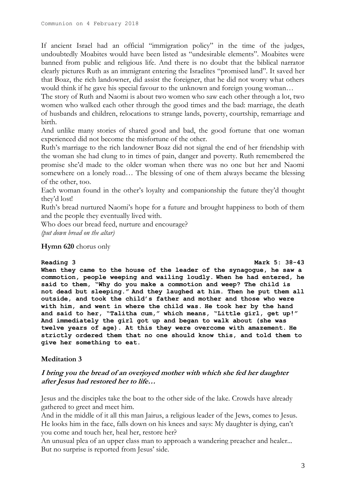If ancient Israel had an official "immigration policy" in the time of the judges, undoubtedly Moabites would have been listed as "undesirable elements". Moabites were banned from public and religious life. And there is no doubt that the biblical narrator clearly pictures Ruth as an immigrant entering the Israelites "promised land". It saved her that Boaz, the rich landowner, did assist the foreigner, that he did not worry what others would think if he gave his special favour to the unknown and foreign young woman…

The story of Ruth and Naomi is about two women who saw each other through a lot, two women who walked each other through the good times and the bad: marriage, the death of husbands and children, relocations to strange lands, poverty, courtship, remarriage and birth.

And unlike many stories of shared good and bad, the good fortune that one woman experienced did not become the misfortune of the other.

Ruth's marriage to the rich landowner Boaz did not signal the end of her friendship with the woman she had clung to in times of pain, danger and poverty. Ruth remembered the promise she'd made to the older woman when there was no one but her and Naomi somewhere on a lonely road… The blessing of one of them always became the blessing of the other, too.

Each woman found in the other's loyalty and companionship the future they'd thought they'd lost!

Ruth's bread nurtured Naomi's hope for a future and brought happiness to both of them and the people they eventually lived with.

Who does our bread feed, nurture and encourage? *(put down bread on the altar)*

## **Hymn 620** chorus only

### **Reading 3 Mark 5: 38-43**

**When they came to the house of the leader of the synagogue, he saw a commotion, people weeping and wailing loudly. When he had entered, he said to them, "Why do you make a commotion and weep? The child is not dead but sleeping." And they laughed at him. Then he put them all outside, and took the child's father and mother and those who were with him, and went in where the child was. He took her by the hand and said to her, "Talitha cum," which means, "Little girl, get up!" And immediately the girl got up and began to walk about (she was twelve years of age). At this they were overcome with amazement. He strictly ordered them that no one should know this, and told them to give her something to eat.**

## **Meditation 3**

## **I bring you the bread of an overjoyed mother with which she fed her daughter after Jesus had restored her to life…**

Jesus and the disciples take the boat to the other side of the lake. Crowds have already gathered to greet and meet him.

And in the middle of it all this man Jairus, a religious leader of the Jews, comes to Jesus. He looks him in the face, falls down on his knees and says: My daughter is dying, can't you come and touch her, heal her, restore her?

An unusual plea of an upper class man to approach a wandering preacher and healer... But no surprise is reported from Jesus' side.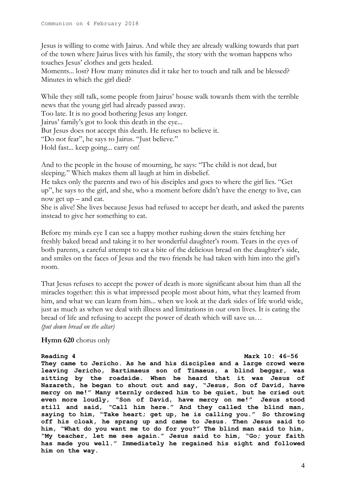Jesus is willing to come with Jairus. And while they are already walking towards that part of the town where Jairus lives with his family, the story with the woman happens who touches Jesus' clothes and gets healed.

Moments... lost? How many minutes did it take her to touch and talk and be blessed? Minutes in which the girl died?

While they still talk, some people from Jairus' house walk towards them with the terrible news that the young girl had already passed away.

Too late. It is no good bothering Jesus any longer.

Jairus' family's got to look this death in the eye...

But Jesus does not accept this death. He refuses to believe it.

"Do not fear", he says to Jairus. "Just believe."

Hold fast... keep going... carry on!

And to the people in the house of mourning, he says: "The child is not dead, but sleeping." Which makes them all laugh at him in disbelief.

He takes only the parents and two of his disciples and goes to where the girl lies. "Get up", he says to the girl, and she, who a moment before didn't have the energy to live, can now get up – and eat.

She is alive! She lives because Jesus had refused to accept her death, and asked the parents instead to give her something to eat.

Before my minds eye I can see a happy mother rushing down the stairs fetching her freshly baked bread and taking it to her wonderful daughter's room. Tears in the eyes of both parents, a careful attempt to eat a bite of the delicious bread on the daughter's side, and smiles on the faces of Jesus and the two friends he had taken with him into the girl's room.

That Jesus refuses to accept the power of death is more significant about him than all the miracles together: this is what impressed people most about him, what they learned from him, and what we can learn from him... when we look at the dark sides of life world wide, just as much as when we deal with illness and limitations in our own lives. It is eating the bread of life and refusing to accept the power of death which will save us… *(put down bread on the altar)*

**Hymn 620** chorus only

**Reading 4 Mark 10: 46-56 They came to Jericho. As he and his disciples and a large crowd were leaving Jericho, Bartimaeus son of Timaeus, a blind beggar, was sitting by the roadside. When he heard that it was Jesus of Nazareth, he began to shout out and say, "Jesus, Son of David, have mercy on me!" Many sternly ordered him to be quiet, but he cried out even more loudly, "Son of David, have mercy on me!" Jesus stood still and said, "Call him here." And they called the blind man, saying to him, "Take heart; get up, he is calling you." So throwing off his cloak, he sprang up and came to Jesus. Then Jesus said to him, "What do you want me to do for you?" The blind man said to him, "My teacher, let me see again." Jesus said to him, "Go; your faith has made you well." Immediately he regained his sight and followed him on the way.**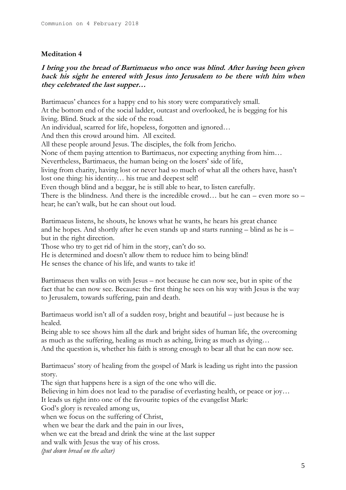## **Meditation 4**

# **I bring you the bread of Bartimaeus who once was blind. After having been given back his sight he entered with Jesus into Jerusalem to be there with him when they celebrated the last supper…**

Bartimaeus' chances for a happy end to his story were comparatively small. At the bottom end of the social ladder, outcast and overlooked, he is begging for his living. Blind. Stuck at the side of the road. An individual, scarred for life, hopeless, forgotten and ignored… And then this crowd around him. All excited. All these people around Jesus. The disciples, the folk from Jericho. None of them paying attention to Bartimaeus, nor expecting anything from him… Nevertheless, Bartimaeus, the human being on the losers' side of life, living from charity, having lost or never had so much of what all the others have, hasn't lost one thing: his identity… his true and deepest self! Even though blind and a beggar, he is still able to hear, to listen carefully. There is the blindness. And there is the incredible crowd… but he can – even more so – hear; he can't walk, but he can shout out loud.

Bartimaeus listens, he shouts, he knows what he wants, he hears his great chance and he hopes. And shortly after he even stands up and starts running – blind as he is – but in the right direction.

Those who try to get rid of him in the story, can't do so.

He is determined and doesn't allow them to reduce him to being blind!

He senses the chance of his life, and wants to take it!

Bartimaeus then walks on with Jesus – not because he can now see, but in spite of the fact that he can now see. Because: the first thing he sees on his way with Jesus is the way to Jerusalem, towards suffering, pain and death.

Bartimaeus world isn't all of a sudden rosy, bright and beautiful – just because he is healed.

Being able to see shows him all the dark and bright sides of human life, the overcoming as much as the suffering, healing as much as aching, living as much as dying… And the question is, whether his faith is strong enough to bear all that he can now see.

Bartimaeus' story of healing from the gospel of Mark is leading us right into the passion story.

The sign that happens here is a sign of the one who will die.

Believing in him does not lead to the paradise of everlasting health, or peace or joy…

It leads us right into one of the favourite topics of the evangelist Mark:

God's glory is revealed among us,

when we focus on the suffering of Christ,

when we bear the dark and the pain in our lives,

when we eat the bread and drink the wine at the last supper

and walk with Jesus the way of his cross.

*(put down bread on the altar)*